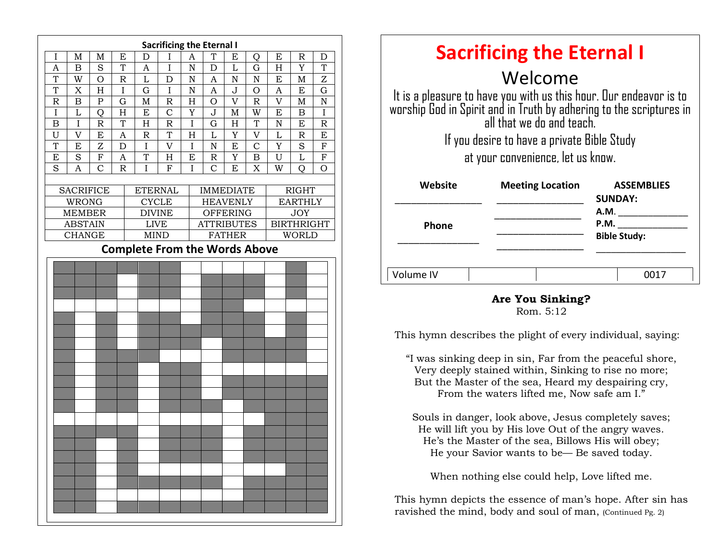|                                      |                  |                |             |                | <b>Sacrificing the Eternal I</b> |             |                    |                           |                |                |                   |                |  |
|--------------------------------------|------------------|----------------|-------------|----------------|----------------------------------|-------------|--------------------|---------------------------|----------------|----------------|-------------------|----------------|--|
| I                                    | M                | M              | E           | D              | I                                | A           | T                  | E                         | O              | E              | $\mathbb R$       | D              |  |
| A                                    | B                | S              | T           | A              | $\mathbf I$                      | $\mathbf N$ | D                  | L                         | G              | H              | Y                 | T              |  |
| T                                    | W                | $\overline{O}$ | $\mathbb R$ | L              | D                                | ${\bf N}$   | A                  | ${\bf N}$                 | ${\bf N}$      | E              | M                 | Z              |  |
| T                                    | X                | H              | I           | G              | I                                | N           | A                  | $\bf J$                   | O              | A              | E                 | G              |  |
| R                                    | $\boldsymbol{B}$ | $\mathbf P$    | G           | $\mathbf M$    | R                                | H           | $\overline{O}$     | $\overline{V}$            | R              | $\overline{V}$ | M                 | N              |  |
| $\rm I$                              | L                | $\overline{O}$ | H           | E              | $\overline{C}$                   | Y           | J                  | $\mathbf M$               | W              | E              | $\overline{B}$    | $\mathbf I$    |  |
| B                                    | I                | $\mathsf{R}$   | T           | H              | R                                | I           | G                  | $\boldsymbol{\mathrm{H}}$ | T              | N              | E                 | $\mathbb R$    |  |
| U                                    | V                | E              | A           | $\mathbb R$    | T                                | H           | L                  | Y                         | V              | L              | $\mathbb R$       | E              |  |
| T                                    | E                | Z              | D           | $\mathbf I$    | $\mathbf{V}$                     | I           | $\overline{\rm N}$ | E                         | $\overline{C}$ | Y              | S                 | $\overline{F}$ |  |
| E                                    | S                | ${\bf F}$      | A           | T              | H                                | E           | R                  | Y                         | B              | U              | $\overline{L}$    | $\mathbf F$    |  |
| S                                    | A                | $\mathcal{C}$  | $\mathbb R$ | I              | F                                | I           | $\overline{C}$     | E                         | X              | W              | Q                 | O              |  |
|                                      |                  |                |             |                |                                  |             |                    |                           |                |                |                   |                |  |
|                                      | <b>SACRIFICE</b> |                |             | <b>ETERNAL</b> |                                  |             | <b>IMMEDIATE</b>   |                           |                | <b>RIGHT</b>   |                   |                |  |
|                                      | <b>WRONG</b>     |                |             | <b>CYCLE</b>   |                                  |             | <b>HEAVENLY</b>    |                           |                |                | <b>EARTHLY</b>    |                |  |
|                                      | <b>MEMBER</b>    |                |             | <b>DIVINE</b>  |                                  |             | <b>OFFERING</b>    |                           |                |                | <b>JOY</b>        |                |  |
|                                      | <b>ABSTAIN</b>   |                |             | <b>LIVE</b>    |                                  |             | <b>ATTRIBUTES</b>  |                           |                |                | <b>BIRTHRIGHT</b> |                |  |
|                                      | <b>CHANGE</b>    |                |             | <b>MIND</b>    |                                  |             | <b>FATHER</b>      |                           |                |                | <b>WORLD</b>      |                |  |
| <b>Complete From the Words Above</b> |                  |                |             |                |                                  |             |                    |                           |                |                |                   |                |  |
|                                      |                  |                |             |                |                                  |             |                    |                           |                |                |                   |                |  |
|                                      |                  |                |             |                |                                  |             |                    |                           |                |                |                   |                |  |
|                                      |                  |                |             |                |                                  |             |                    |                           |                |                |                   |                |  |
|                                      |                  |                |             |                |                                  |             |                    |                           |                |                |                   |                |  |
|                                      |                  |                |             |                |                                  |             |                    |                           |                |                |                   |                |  |
|                                      |                  |                |             |                |                                  |             |                    |                           |                |                |                   |                |  |
|                                      |                  |                |             |                |                                  |             |                    |                           |                |                |                   |                |  |
|                                      |                  |                |             |                |                                  |             |                    |                           |                |                |                   |                |  |
|                                      |                  |                |             |                |                                  |             |                    |                           |                |                |                   |                |  |
|                                      |                  |                |             |                |                                  |             |                    |                           |                |                |                   |                |  |
|                                      |                  |                |             |                |                                  |             |                    |                           |                |                |                   |                |  |
|                                      |                  |                |             |                |                                  |             |                    |                           |                |                |                   |                |  |
|                                      |                  |                |             |                |                                  |             |                    |                           |                |                |                   |                |  |
|                                      |                  |                |             |                |                                  |             |                    |                           |                |                |                   |                |  |
|                                      |                  |                |             |                |                                  |             |                    |                           |                |                |                   |                |  |
|                                      |                  |                |             |                |                                  |             |                    |                           |                |                |                   |                |  |
|                                      |                  |                |             |                |                                  |             |                    |                           |                |                |                   |                |  |
|                                      |                  |                |             |                |                                  |             |                    |                           |                |                |                   |                |  |
|                                      |                  |                |             |                |                                  |             |                    |                           |                |                |                   |                |  |
|                                      |                  |                |             |                |                                  |             |                    |                           |                |                |                   |                |  |
|                                      |                  |                |             |                |                                  |             |                    |                           |                |                |                   |                |  |
|                                      |                  |                |             |                |                                  |             |                    |                           |                |                |                   |                |  |
|                                      |                  |                |             |                |                                  |             |                    |                           |                |                |                   |                |  |
|                                      |                  |                |             |                |                                  |             |                    |                           |                |                |                   |                |  |

| <b>Sacrificing the Eternal I</b>                                                                                                                                                  |                         |                                     |  |  |  |  |  |  |  |
|-----------------------------------------------------------------------------------------------------------------------------------------------------------------------------------|-------------------------|-------------------------------------|--|--|--|--|--|--|--|
| Welcome<br>It is a pleasure to have you with us this hour. Our endeavor is to<br>worship God in Spirit and in Truth by adhering to the scriptures in<br>all that we do and teach. |                         |                                     |  |  |  |  |  |  |  |
| If you desire to have a private Bible Study<br>at your convenience, let us know.                                                                                                  |                         |                                     |  |  |  |  |  |  |  |
| <b>Website</b>                                                                                                                                                                    | <b>Meeting Location</b> | <b>ASSEMBLIES</b><br><b>SUNDAY:</b> |  |  |  |  |  |  |  |
| Phone                                                                                                                                                                             |                         | A.M.<br>P.M.<br><b>Bible Study:</b> |  |  |  |  |  |  |  |
| Volume IV                                                                                                                                                                         |                         |                                     |  |  |  |  |  |  |  |

#### **Are You Sinking?** Rom. 5:12

This hymn describes the plight of every individual, saying:

"I was sinking deep in sin, Far from the peaceful shore, Very deeply stained within, Sinking to rise no more; But the Master of the sea, Heard my despairing cry, From the waters lifted me, Now safe am I."

Souls in danger, look above, Jesus completely saves; He will lift you by His love Out of the angry waves. He's the Master of the sea, Billows His will obey; He your Savior wants to be— Be saved today.

When nothing else could help, Love lifted me.

This hymn depicts the essence of man's hope. After sin has ravished the mind, body and soul of man, (Continued Pg. 2)